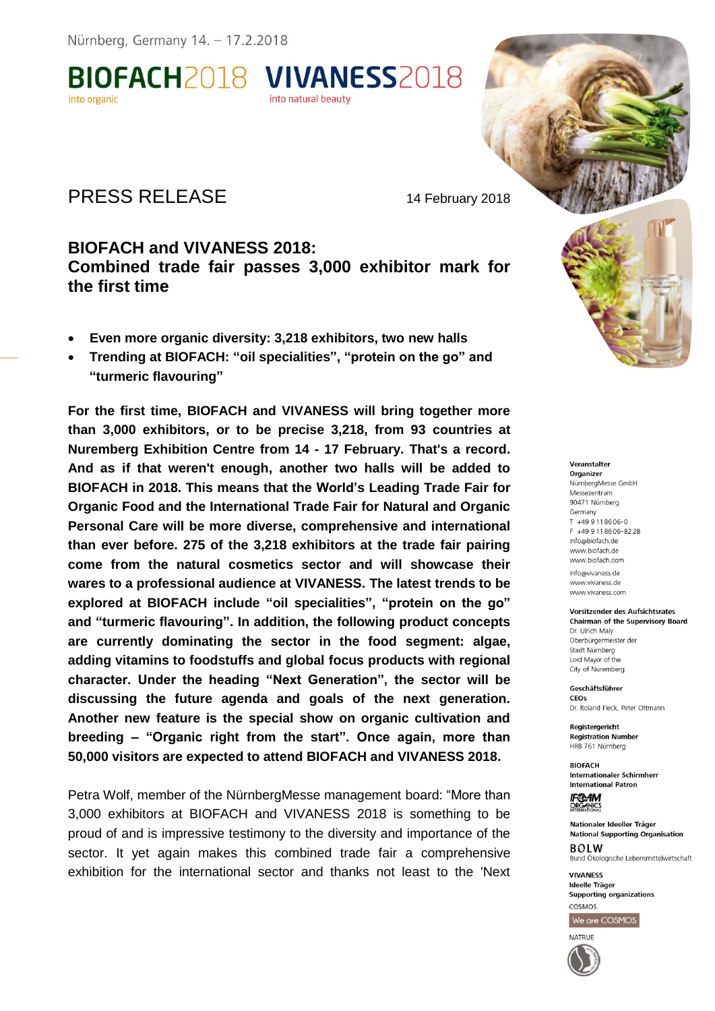**BIOFACH2018 VIVANESS2018** into organic into natural beauty

## PRESS RELEASE 14 February 2018

## **BIOFACH and VIVANESS 2018: Combined trade fair passes 3,000 exhibitor mark for the first time**

- **Even more organic diversity: 3,218 exhibitors, two new halls**
- **Trending at BIOFACH: "oil specialities", "protein on the go" and "turmeric flavouring"**

**For the first time, BIOFACH and VIVANESS will bring together more than 3,000 exhibitors, or to be precise 3,218, from 93 countries at Nuremberg Exhibition Centre from 14 - 17 February. That's a record. And as if that weren't enough, another two halls will be added to BIOFACH in 2018. This means that the World's Leading Trade Fair for Organic Food and the International Trade Fair for Natural and Organic Personal Care will be more diverse, comprehensive and international than ever before. 275 of the 3,218 exhibitors at the trade fair pairing come from the natural cosmetics sector and will showcase their wares to a professional audience at VIVANESS. The latest trends to be explored at BIOFACH include "oil specialities", "protein on the go" and "turmeric flavouring". In addition, the following product concepts are currently dominating the sector in the food segment: algae, adding vitamins to foodstuffs and global focus products with regional character. Under the heading "Next Generation", the sector will be discussing the future agenda and goals of the next generation. Another new feature is the special show on organic cultivation and breeding – "Organic right from the start". Once again, more than 50,000 visitors are expected to attend BIOFACH and VIVANESS 2018.** 

Petra Wolf, member of the NürnbergMesse management board: "More than 3,000 exhibitors at BIOFACH and VIVANESS 2018 is something to be proud of and is impressive testimony to the diversity and importance of the sector. It yet again makes this combined trade fair a comprehensive exhibition for the international sector and thanks not least to the 'Next



#### Veranstalter

Organizer NürnbergMesse GmbH Messezentrum 90471 Nürnberg Germany T +49 9 11 86 06 - 0 F +49 9 11 86 06 - 82 28 info@biofach.de www.biofach.de www.biofach.com info@vivaness.de www.vivaness.de www.vivaness.com

#### **Vorsitzender des Aufsichtsrates Chairman of the Supervisory Board** Dr. Ulrich Maly

Oberbürgermeister de Stadt Nürnberg Lord Mayor of the City of Nuremberg

Geschäftsführer CEOS Dr. Roland Fleck, Peter Ottmann

Registergericht **Registration Number** HRB 761 Nürnberg

**BIOFACH Internationaler Schirmherr International Patron** 

**IF®AM ORGANICS** 

Nationaler Ideeller Träger **National Supporting Organisation BOLW** 

Bund Ökologische Lebensmittelwirtschaft **VIVANESS** 

Ideelle Träger **Supporting organizations** COSMOS

We are COSMOS

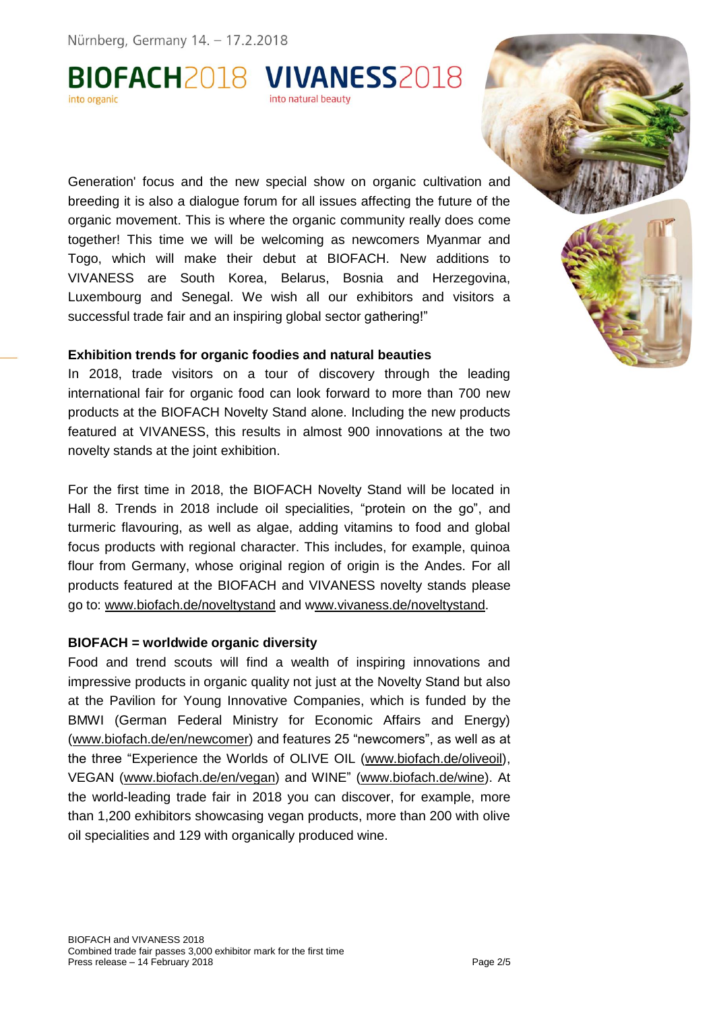# BIOFACH2018 VIVANESS2018 into natural beauty

Generation' focus and the new special show on organic cultivation and breeding it is also a dialogue forum for all issues affecting the future of the organic movement. This is where the organic community really does come together! This time we will be welcoming as newcomers Myanmar and Togo, which will make their debut at BIOFACH. New additions to VIVANESS are South Korea, Belarus, Bosnia and Herzegovina, Luxembourg and Senegal. We wish all our exhibitors and visitors a successful trade fair and an inspiring global sector gathering!"

#### **Exhibition trends for organic foodies and natural beauties**

In 2018, trade visitors on a tour of discovery through the leading international fair for organic food can look forward to more than 700 new products at the BIOFACH Novelty Stand alone. Including the new products featured at VIVANESS, this results in almost 900 innovations at the two novelty stands at the joint exhibition.

For the first time in 2018, the BIOFACH Novelty Stand will be located in Hall 8. Trends in 2018 include oil specialities, "protein on the go", and turmeric flavouring, as well as algae, adding vitamins to food and global focus products with regional character. This includes, for example, quinoa flour from Germany, whose original region of origin is the Andes. For all products featured at the BIOFACH and VIVANESS novelty stands please go to: www.biofach.de/noveltystand and www.vivaness.de/noveltystand.

#### **BIOFACH = worldwide organic diversity**

Food and trend scouts will find a wealth of inspiring innovations and impressive products in organic quality not just at the Novelty Stand but also at the Pavilion for Young Innovative Companies, which is funded by the BMWI (German Federal Ministry for Economic Affairs and Energy) (www.biofach.de/en/newcomer) and features 25 "newcomers", as well as at the three "Experience the Worlds of OLIVE OIL (www.biofach.de/oliveoil), VEGAN (www.biofach.de/en/vegan) and WINE" (www.biofach.de/wine). At the world-leading trade fair in 2018 you can discover, for example, more than 1,200 exhibitors showcasing vegan products, more than 200 with olive oil specialities and 129 with organically produced wine.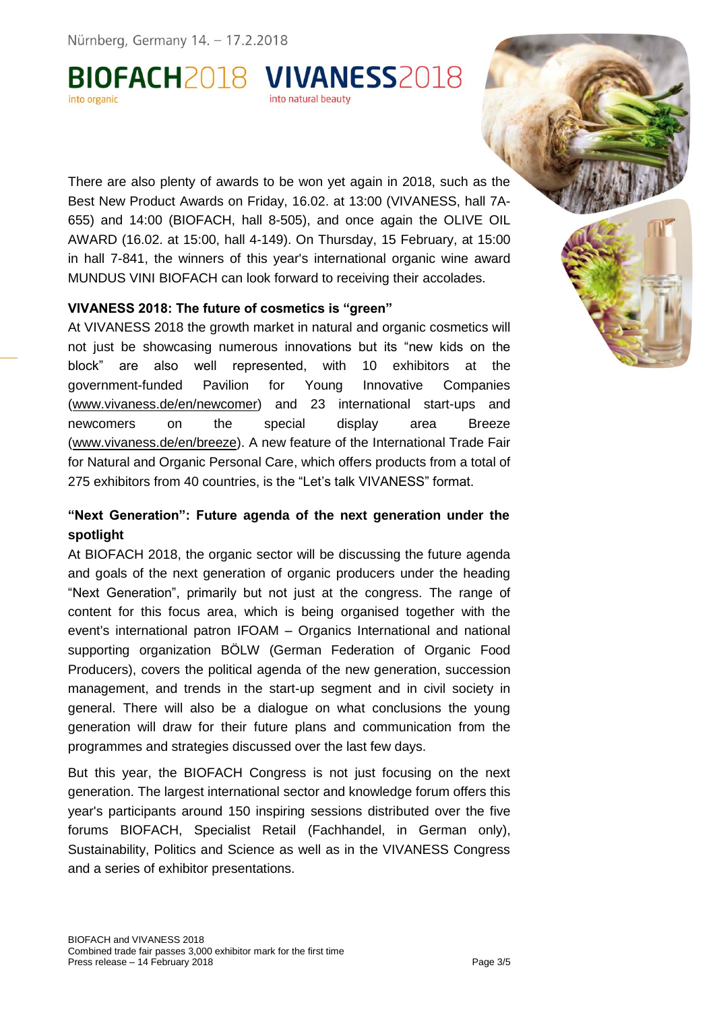#### BIOFACH2018 VIVANESS2018 into organic into natural beauty

There are also plenty of awards to be won yet again in 2018, such as the Best New Product Awards on Friday, 16.02. at 13:00 (VIVANESS, hall 7A-655) and 14:00 (BIOFACH, hall 8-505), and once again the OLIVE OIL AWARD (16.02. at 15:00, hall 4-149). On Thursday, 15 February, at 15:00 in hall 7-841, the winners of this year's international organic wine award MUNDUS VINI BIOFACH can look forward to receiving their accolades.

#### **VIVANESS 2018: The future of cosmetics is "green"**

At VIVANESS 2018 the growth market in natural and organic cosmetics will not just be showcasing numerous innovations but its "new kids on the block" are also well represented, with 10 exhibitors at the government-funded Pavilion for Young Innovative Companies (www.vivaness.de/en/newcomer) and 23 international start-ups and newcomers on the special display area Breeze (www.vivaness.de/en/breeze). A new feature of the International Trade Fair for Natural and Organic Personal Care, which offers products from a total of 275 exhibitors from 40 countries, is the "Let's talk VIVANESS" format.

### **"Next Generation": Future agenda of the next generation under the spotlight**

At BIOFACH 2018, the organic sector will be discussing the future agenda and goals of the next generation of organic producers under the heading "Next Generation", primarily but not just at the congress. The range of content for this focus area, which is being organised together with the event's international patron IFOAM – Organics International and national supporting organization BÖLW (German Federation of Organic Food Producers), covers the political agenda of the new generation, succession management, and trends in the start-up segment and in civil society in general. There will also be a dialogue on what conclusions the young generation will draw for their future plans and communication from the programmes and strategies discussed over the last few days.

But this year, the BIOFACH Congress is not just focusing on the next generation. The largest international sector and knowledge forum offers this year's participants around 150 inspiring sessions distributed over the five forums BIOFACH, Specialist Retail (Fachhandel, in German only), Sustainability, Politics and Science as well as in the VIVANESS Congress and a series of exhibitor presentations.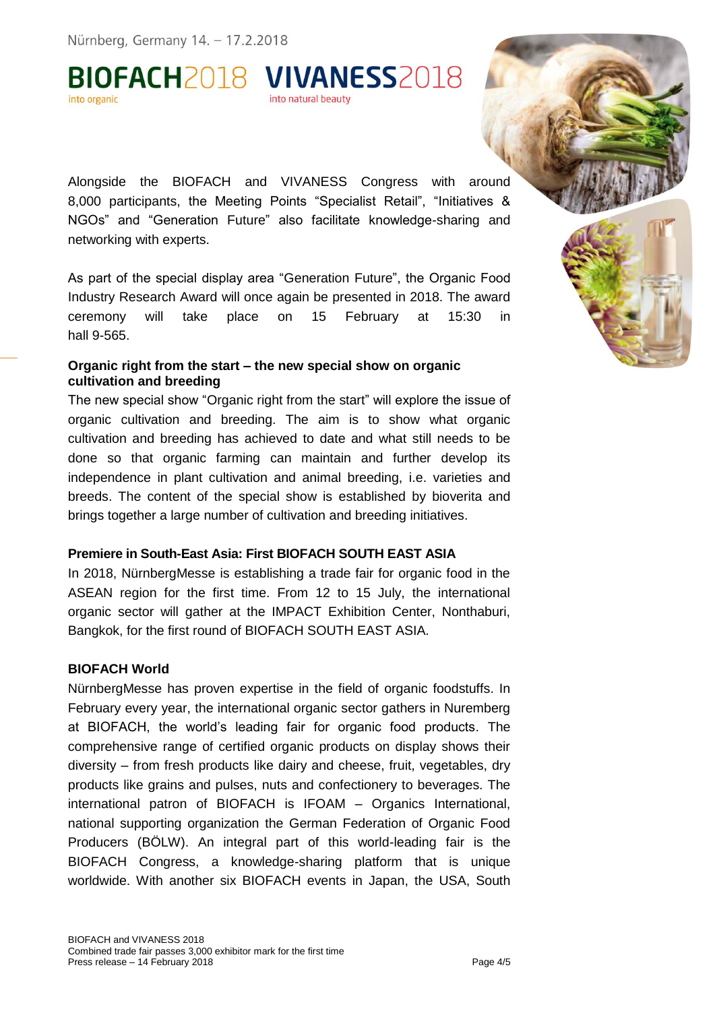BIOFACH2018 VIVANESS2018 into organic into natural beauty



Alongside the BIOFACH and VIVANESS Congress with around 8,000 participants, the Meeting Points "Specialist Retail", "Initiatives & NGOs" and "Generation Future" also facilitate knowledge-sharing and networking with experts.

As part of the special display area "Generation Future", the Organic Food Industry Research Award will once again be presented in 2018. The award ceremony will take place on 15 February at 15:30 in hall 9-565.

#### **Organic right from the start – the new special show on organic cultivation and breeding**

The new special show "Organic right from the start" will explore the issue of organic cultivation and breeding. The aim is to show what organic cultivation and breeding has achieved to date and what still needs to be done so that organic farming can maintain and further develop its independence in plant cultivation and animal breeding, i.e. varieties and breeds. The content of the special show is established by bioverita and brings together a large number of cultivation and breeding initiatives.

### **Premiere in South-East Asia: First BIOFACH SOUTH EAST ASIA**

In 2018, NürnbergMesse is establishing a trade fair for organic food in the ASEAN region for the first time. From 12 to 15 July, the international organic sector will gather at the IMPACT Exhibition Center, Nonthaburi, Bangkok, for the first round of BIOFACH SOUTH EAST ASIA.

#### **BIOFACH World**

NürnbergMesse has proven expertise in the field of organic foodstuffs. In February every year, the international organic sector gathers in Nuremberg at BIOFACH, the world's leading fair for organic food products. The comprehensive range of certified organic products on display shows their diversity – from fresh products like dairy and cheese, fruit, vegetables, dry products like grains and pulses, nuts and confectionery to beverages. The international patron of BIOFACH is IFOAM – Organics International, national supporting organization the German Federation of Organic Food Producers (BÖLW). An integral part of this world-leading fair is the BIOFACH Congress, a knowledge-sharing platform that is unique worldwide. With another six BIOFACH events in Japan, the USA, South